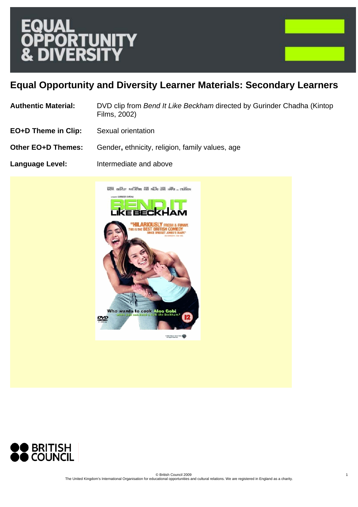

# **Equal Opportunity and Diversity Learner Materials: Secondary Learners**

- **Authentic Material:** DVD clip from *Bend It Like Beckham* directed by Gurinder Chadha (Kintop Films, 2002)
- **EO+D Theme in Clip:** Sexual orientation
- **Other EO+D Themes:** Gender, ethnicity, religion, family values, age
- **Language Level:** Intermediate and above



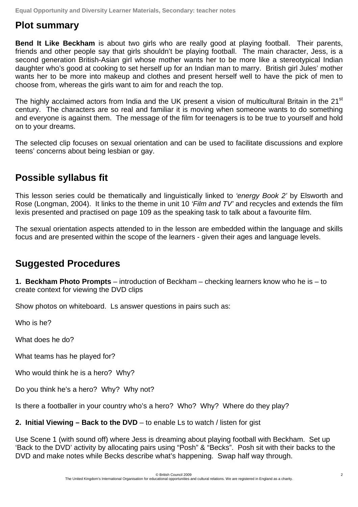**Equal Opportunity and Diversity Learner Materials, Secondary: teacher notes** 

### **Plot summary**

**Bend It Like Beckham** is about two girls who are really good at playing football. Their parents, friends and other people say that girls shouldn't be playing football. The main character, Jess, is a second generation British-Asian girl whose mother wants her to be more like a stereotypical Indian daughter who's good at cooking to set herself up for an Indian man to marry. British girl Jules' mother wants her to be more into makeup and clothes and present herself well to have the pick of men to choose from, whereas the girls want to aim for and reach the top.

The highly acclaimed actors from India and the UK present a vision of multicultural Britain in the 21<sup>st</sup> century. The characters are so real and familiar it is moving when someone wants to do something and everyone is against them. The message of the film for teenagers is to be true to yourself and hold on to your dreams.

The selected clip focuses on sexual orientation and can be used to facilitate discussions and explore teens' concerns about being lesbian or gay.

## **Possible syllabus fit**

This lesson series could be thematically and linguistically linked to *'energy Book 2'* by Elsworth and Rose (Longman, 2004). It links to the theme in unit 10 *'Film and TV'* and recycles and extends the film lexis presented and practised on page 109 as the speaking task to talk about a favourite film.

The sexual orientation aspects attended to in the lesson are embedded within the language and skills focus and are presented within the scope of the learners - given their ages and language levels.

## **Suggested Procedures**

**1. Beckham Photo Prompts** – introduction of Beckham – checking learners know who he is – to create context for viewing the DVD clips

Show photos on whiteboard. Ls answer questions in pairs such as:

Who is he?

What does he do?

What teams has he played for?

Who would think he is a hero? Why?

Do you think he's a hero? Why? Why not?

Is there a footballer in your country who's a hero? Who? Why? Where do they play?

**2. Initial Viewing – Back to the DVD** – to enable Ls to watch / listen for gist

Use Scene 1 (with sound off) where Jess is dreaming about playing football with Beckham. Set up 'Back to the DVD' activity by allocating pairs using "Posh" & "Becks". Posh sit with their backs to the DVD and make notes while Becks describe what's happening. Swap half way through.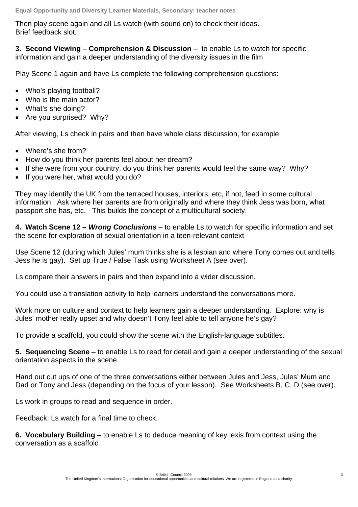Then play scene again and all Ls watch (with sound on) to check their ideas. Brief feedback slot.

**3. Second Viewing – Comprehension & Discussion** – to enable Ls to watch for specific information and gain a deeper understanding of the diversity issues in the film

Play Scene 1 again and have Ls complete the following comprehension questions:

- Who's playing football?
- Who is the main actor?
- What's she doing?
- Are you surprised? Why?

After viewing, Ls check in pairs and then have whole class discussion, for example:

- Where's she from?
- How do you think her parents feel about her dream?
- If she were from your country, do you think her parents would feel the same way? Why?
- If you were her, what would you do?

They may identify the UK from the terraced houses, interiors, etc, if not, feed in some cultural information. Ask where her parents are from originally and where they think Jess was born, what passport she has, etc. This builds the concept of a multicultural society.

**4. Watch Scene 12 –** *Wrong Conclusions* – to enable Ls to watch for specific information and set the scene for exploration of sexual orientation in a teen-relevant context

Use Scene 12 (during which Jules' mum thinks she is a lesbian and where Tony comes out and tells Jess he is gay). Set up True / False Task using Worksheet A (see over).

Ls compare their answers in pairs and then expand into a wider discussion.

You could use a translation activity to help learners understand the conversations more.

Work more on culture and context to help learners gain a deeper understanding. Explore: why is Jules' mother really upset and why doesn't Tony feel able to tell anyone he's gay?

To provide a scaffold, you could show the scene with the English-language subtitles.

**5. Sequencing Scene** – to enable Ls to read for detail and gain a deeper understanding of the sexual orientation aspects in the scene

Hand out cut ups of one of the three conversations either between Jules and Jess, Jules' Mum and Dad or Tony and Jess (depending on the focus of your lesson). See Worksheets B, C, D (see over).

Ls work in groups to read and sequence in order.

Feedback: Ls watch for a final time to check.

**6. Vocabulary Building** – to enable Ls to deduce meaning of key lexis from context using the conversation as a scaffold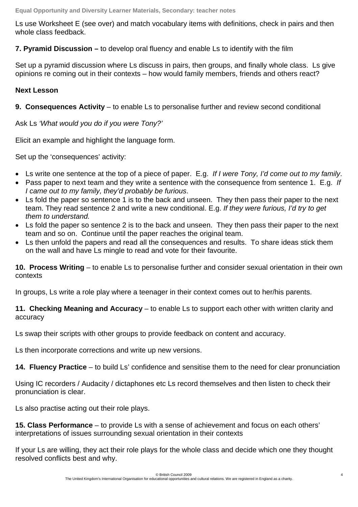Ls use Worksheet E (see over) and match vocabulary items with definitions, check in pairs and then whole class feedback.

**7. Pyramid Discussion –** to develop oral fluency and enable Ls to identify with the film

Set up a pyramid discussion where Ls discuss in pairs, then groups, and finally whole class. Ls give opinions re coming out in their contexts – how would family members, friends and others react?

### **Next Lesson**

**9. Consequences Activity** – to enable Ls to personalise further and review second conditional

Ask Ls *'What would you do if you were Tony?'*

Elicit an example and highlight the language form.

Set up the 'consequences' activity:

- Ls write one sentence at the top of a piece of paper. E.g. *If I were Tony, I'd come out to my family*.
- Pass paper to next team and they write a sentence with the consequence from sentence 1. E.g. *If I came out to my family, they'd probably be furious*.
- Ls fold the paper so sentence 1 is to the back and unseen. They then pass their paper to the next team. They read sentence 2 and write a new conditional. E.g. *If they were furious, I'd try to get them to understand.*
- Ls fold the paper so sentence 2 is to the back and unseen. They then pass their paper to the next team and so on. Continue until the paper reaches the original team.
- Ls then unfold the papers and read all the consequences and results. To share ideas stick them on the wall and have Ls mingle to read and vote for their favourite.

**10. Process Writing** – to enable Ls to personalise further and consider sexual orientation in their own contexts

In groups, Ls write a role play where a teenager in their context comes out to her/his parents.

**11. Checking Meaning and Accuracy** – to enable Ls to support each other with written clarity and accuracy

Ls swap their scripts with other groups to provide feedback on content and accuracy.

Ls then incorporate corrections and write up new versions.

**14. Fluency Practice** – to build Ls' confidence and sensitise them to the need for clear pronunciation

Using IC recorders / Audacity / dictaphones etc Ls record themselves and then listen to check their pronunciation is clear.

Ls also practise acting out their role plays.

**15. Class Performance** – to provide Ls with a sense of achievement and focus on each others' interpretations of issues surrounding sexual orientation in their contexts

If your Ls are willing, they act their role plays for the whole class and decide which one they thought resolved conflicts best and why.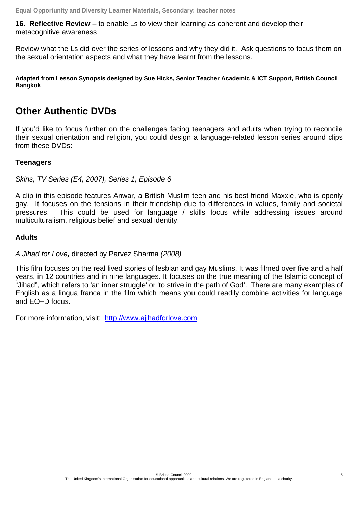**16. Reflective Review** – to enable Ls to view their learning as coherent and develop their metacognitive awareness

Review what the Ls did over the series of lessons and why they did it. Ask questions to focus them on the sexual orientation aspects and what they have learnt from the lessons.

**Adapted from Lesson Synopsis designed by Sue Hicks, Senior Teacher Academic & ICT Support, British Council Bangkok** 

### **Other Authentic DVDs**

If you'd like to focus further on the challenges facing teenagers and adults when trying to reconcile their sexual orientation and religion, you could design a language-related lesson series around clips from these DVDs:

#### **Teenagers**

*Skins, TV Series (E4, 2007), Series 1, Episode 6* 

A clip in this episode features Anwar, a British Muslim teen and his best friend Maxxie, who is openly gay. It focuses on the tensions in their friendship due to differences in values, family and societal pressures. This could be used for language / skills focus while addressing issues around multiculturalism, religious belief and sexual identity.

#### **Adults**

*A Jihad for Love, directed by Parvez Sharma (2008)* 

This film focuses on the real lived stories of lesbian and gay Muslims. It was filmed over five and a half years, in 12 countries and in nine languages. It focuses on the true meaning of the Islamic concept of "Jihad", which refers to 'an inner struggle' or 'to strive in the path of God'. There are many examples of English as a lingua franca in the film which means you could readily combine activities for language and EO+D focus.

For more information, visit: http://www.ajihadforlove.com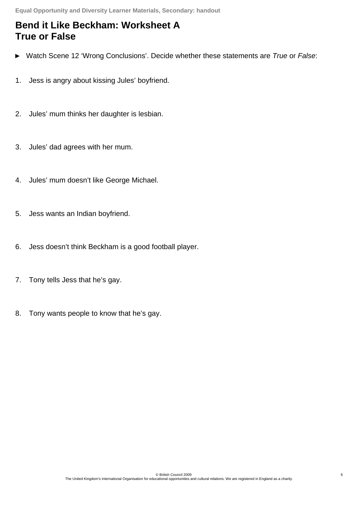## **Bend it Like Beckham: Worksheet A True or False**

- ► Watch Scene 12 'Wrong Conclusions'. Decide whether these statements are *True* or *False*:
- 1. Jess is angry about kissing Jules' boyfriend.
- 2. Jules' mum thinks her daughter is lesbian.
- 3. Jules' dad agrees with her mum.
- 4. Jules' mum doesn't like George Michael.
- 5. Jess wants an Indian boyfriend.
- 6. Jess doesn't think Beckham is a good football player.
- 7. Tony tells Jess that he's gay.
- 8. Tony wants people to know that he's gay.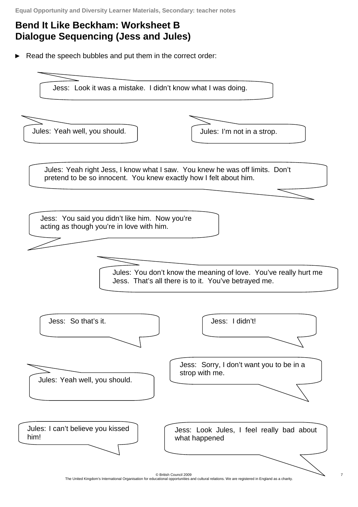# **Bend It Like Beckham: Worksheet B Dialogue Sequencing (Jess and Jules)**

► Read the speech bubbles and put them in the correct order:

Jess: Look it was a mistake. I didn't know what I was doing.





Jules: Yeah right Jess, I know what I saw. You knew he was off limits. Don't pretend to be so innocent. You knew exactly how I felt about him.

Jess: You said you didn't like him. Now you're acting as though you're in love with him.

> Jules: You don't know the meaning of love. You've really hurt me Jess. That's all there is to it. You've betrayed me.



© British Council 2009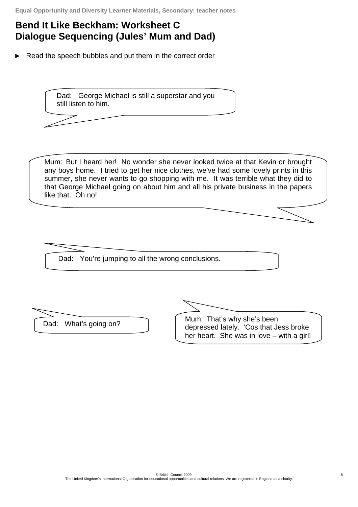## **Bend It Like Beckham: Worksheet C Dialogue Sequencing (Jules' Mum and Dad)**

► Read the speech bubbles and put them in the correct order

Dad: George Michael is still a superstar and you still listen to him.

Mum: But I heard her! No wonder she never looked twice at that Kevin or brought any boys home. I tried to get her nice clothes, we've had some lovely prints in this summer, she never wants to go shopping with me. It was terrible what they did to that George Michael going on about him and all his private business in the papers like that. Oh no!

Dad: You're jumping to all the wrong conclusions.

Dad: What's going on? Mum: That's why she's been depressed lately. 'Cos that Jess broke her heart. She was in love – with a girl!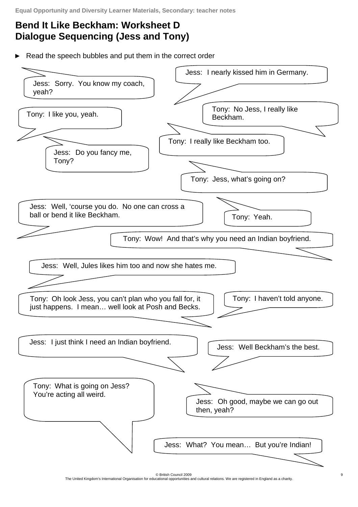# **Bend It Like Beckham: Worksheet D Dialogue Sequencing (Jess and Tony)**

Read the speech bubbles and put them in the correct order



© British Council 2009